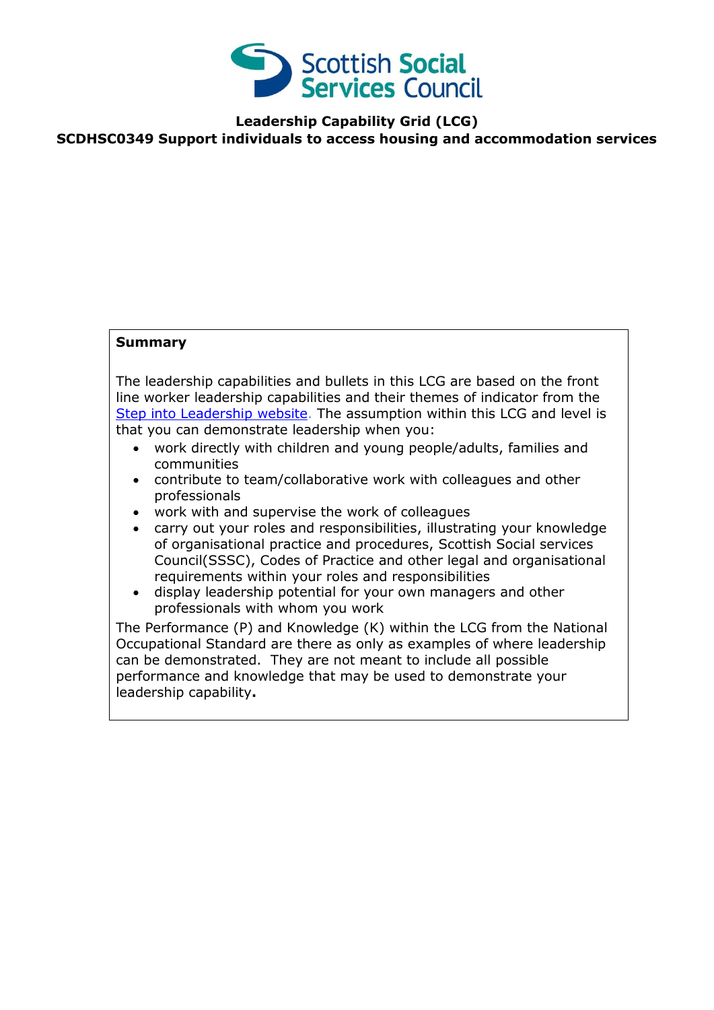

**Leadership Capability Grid (LCG) SCDHSC0349 Support individuals to access housing and accommodation services**

## **Summary**

The leadership capabilities and bullets in this LCG are based on the front line worker leadership capabilities and their themes of indicator from the [Step into Leadership website.](http://www.stepintoleadership.info/) The assumption within this LCG and level is that you can demonstrate leadership when you:

- work directly with children and young people/adults, families and communities
- contribute to team/collaborative work with colleagues and other professionals
- work with and supervise the work of colleagues
- carry out your roles and responsibilities, illustrating your knowledge of organisational practice and procedures, Scottish Social services Council(SSSC), Codes of Practice and other legal and organisational requirements within your roles and responsibilities
- display leadership potential for your own managers and other professionals with whom you work

The Performance (P) and Knowledge (K) within the LCG from the National Occupational Standard are there as only as examples of where leadership can be demonstrated. They are not meant to include all possible performance and knowledge that may be used to demonstrate your leadership capability**.**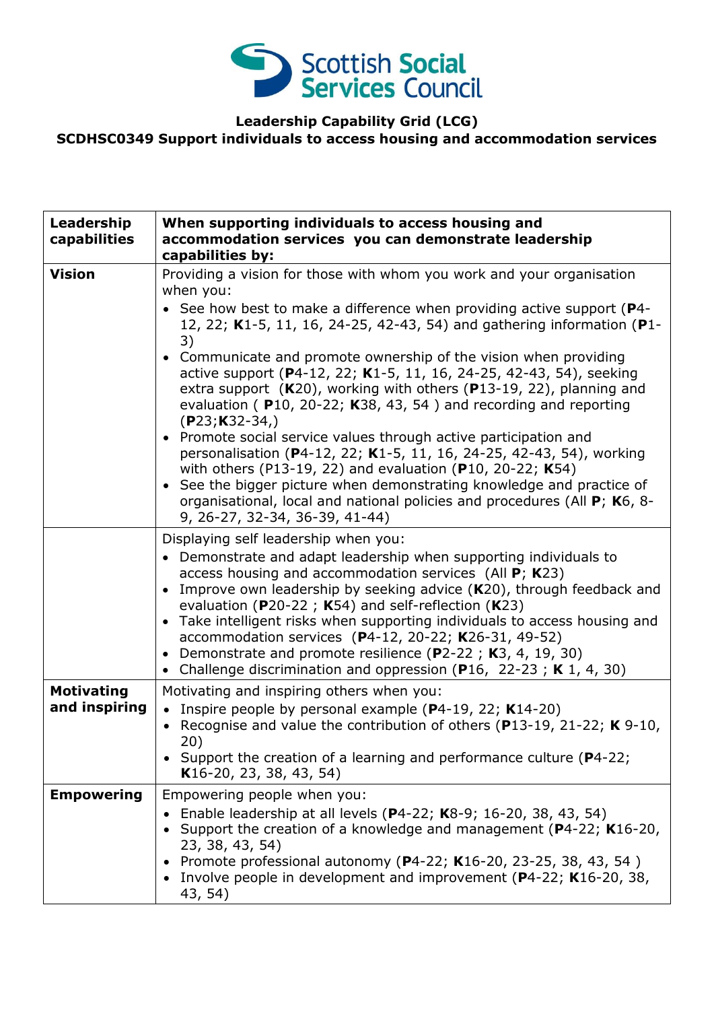

**Leadership Capability Grid (LCG)**

## **SCDHSC0349 Support individuals to access housing and accommodation services**

| Leadership<br>capabilities         | When supporting individuals to access housing and<br>accommodation services you can demonstrate leadership<br>capabilities by:                                                                                                                                                                                                                                                                                                                                                                                                                                                                                                                                                                                                                                                                                                                                                                                                                         |
|------------------------------------|--------------------------------------------------------------------------------------------------------------------------------------------------------------------------------------------------------------------------------------------------------------------------------------------------------------------------------------------------------------------------------------------------------------------------------------------------------------------------------------------------------------------------------------------------------------------------------------------------------------------------------------------------------------------------------------------------------------------------------------------------------------------------------------------------------------------------------------------------------------------------------------------------------------------------------------------------------|
| <b>Vision</b>                      | Providing a vision for those with whom you work and your organisation<br>when you:<br>• See how best to make a difference when providing active support (P4-<br>12, 22; K1-5, 11, 16, 24-25, 42-43, 54) and gathering information (P1-<br>3)<br>• Communicate and promote ownership of the vision when providing<br>active support (P4-12, 22; K1-5, 11, 16, 24-25, 42-43, 54), seeking<br>extra support (K20), working with others (P13-19, 22), planning and<br>evaluation (P10, 20-22; K38, 43, 54) and recording and reporting<br>$(P23; K32-34)$<br>• Promote social service values through active participation and<br>personalisation (P4-12, 22; K1-5, 11, 16, 24-25, 42-43, 54), working<br>with others (P13-19, 22) and evaluation (P10, 20-22; K54)<br>• See the bigger picture when demonstrating knowledge and practice of<br>organisational, local and national policies and procedures (All P; K6, 8-<br>9, 26-27, 32-34, 36-39, 41-44) |
|                                    | Displaying self leadership when you:<br>• Demonstrate and adapt leadership when supporting individuals to<br>access housing and accommodation services (All $P$ ; K23)<br>• Improve own leadership by seeking advice $(K20)$ , through feedback and<br>evaluation ( $P20-22$ ; K54) and self-reflection (K23)<br>• Take intelligent risks when supporting individuals to access housing and<br>accommodation services (P4-12, 20-22; K26-31, 49-52)<br>Demonstrate and promote resilience (P2-22; K3, 4, 19, 30)<br>$\bullet$<br>Challenge discrimination and oppression (P16, 22-23; K 1, 4, 30)<br>$\bullet$                                                                                                                                                                                                                                                                                                                                         |
| <b>Motivating</b><br>and inspiring | Motivating and inspiring others when you:<br>• Inspire people by personal example ( $P$ 4-19, 22; K14-20)<br>• Recognise and value the contribution of others (P13-19, 21-22; $K$ 9-10,<br>20)<br>• Support the creation of a learning and performance culture (P4-22;<br>K16-20, 23, 38, 43, 54)                                                                                                                                                                                                                                                                                                                                                                                                                                                                                                                                                                                                                                                      |
| <b>Empowering</b>                  | Empowering people when you:<br>Enable leadership at all levels (P4-22; K8-9; 16-20, 38, 43, 54)<br>Support the creation of a knowledge and management (P4-22; K16-20,<br>23, 38, 43, 54)<br>Promote professional autonomy (P4-22; K16-20, 23-25, 38, 43, 54)<br>Involve people in development and improvement (P4-22; K16-20, 38,<br>43, 54)                                                                                                                                                                                                                                                                                                                                                                                                                                                                                                                                                                                                           |